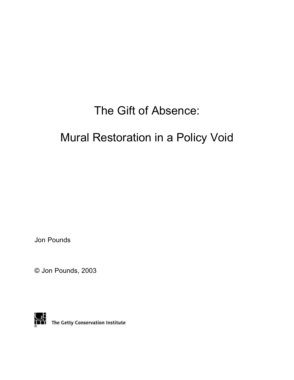## The Gift of Absence:

# Mural Restoration in a Policy Void

Jon Pounds

© Jon Pounds, 2003



**THE THE Getty Conservation Institute**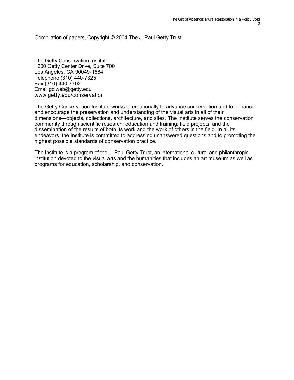Compilation of papers, Copyright © 2004 The J. Paul Getty Trust

The Getty Conservation Institute 1200 Getty Center Drive, Suite 700 Los Angeles, CA 90049-1684 Telephone (310) 440-7325 Fax (310) 440-7702 Email gciweb@getty.edu www.getty.edu/conservation

The Getty Conservation Institute works internationally to advance conservation and to enhance and encourage the preservation and understanding of the visual arts in all of their dimensions—objects, collections, architecture, and sites. The Institute serves the conservation community through scientific research; education and training; field projects; and the dissemination of the results of both its work and the work of others in the field. In all its endeavors, the Institute is committed to addressing unanswered questions and to promoting the highest possible standards of conservation practice.

The Institute is a program of the J. Paul Getty Trust, an international cultural and philanthropic institution devoted to the visual arts and the humanities that includes an art museum as well as programs for education, scholarship, and conservation.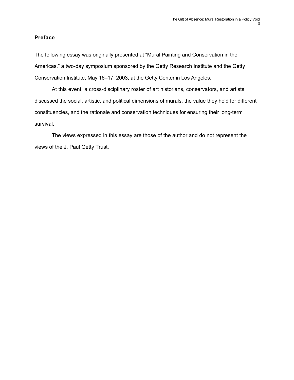## **Preface**

The following essay was originally presented at "Mural Painting and Conservation in the Americas," a two-day symposium sponsored by the Getty Research Institute and the Getty Conservation Institute, May 16–17, 2003, at the Getty Center in Los Angeles.

At this event, a cross-disciplinary roster of art historians, conservators, and artists discussed the social, artistic, and political dimensions of murals, the value they hold for different constituencies, and the rationale and conservation techniques for ensuring their long-term survival.

The views expressed in this essay are those of the author and do not represent the views of the J. Paul Getty Trust.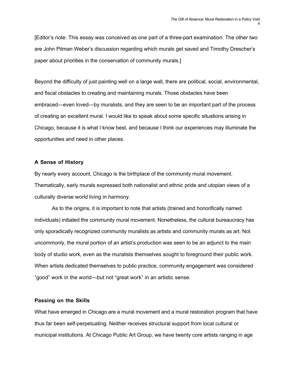[Editor's note: This essay was conceived as one part of a three-part examination. The other two are John Pitman Weber's discussion regarding which murals get saved and Timothy Drescher's paper about priorities in the conservation of community murals.]

Beyond the difficulty of just painting well on a large wall, there are political, social, environmental, and fiscal obstacles to creating and maintaining murals. Those obstacles have been embraced—even loved—by muralists, and they are seen to be an important part of the process of creating an excellent mural. I would like to speak about some specific situations arising in Chicago, because it is what I know best, and because I think our experiences may illuminate the opportunities and need in other places.

## **A Sense of History**

By nearly every account, Chicago is the birthplace of the community mural movement. Thematically, early murals expressed both nationalist and ethnic pride and utopian views of a culturally diverse world living in harmony.

As to the origins, it is important to note that artists (trained and honorifically named individuals) initiated the community mural movement. Nonetheless, the cultural bureaucracy has only sporadically recognized community muralists as artists and community murals as art. Not uncommonly, the mural portion of an artist's production was seen to be an adjunct to the main body of studio work, even as the muralists themselves sought to foreground their public work. When artists dedicated themselves to public practice, community engagement was considered "good" work in the world—but not "great work" in an artistic sense.

## **Passing on the Skills**

What have emerged in Chicago are a mural movement and a mural restoration program that have thus far been self-perpetuating. Neither receives structural support from local cultural or municipal institutions. At Chicago Public Art Group, we have twenty core artists ranging in age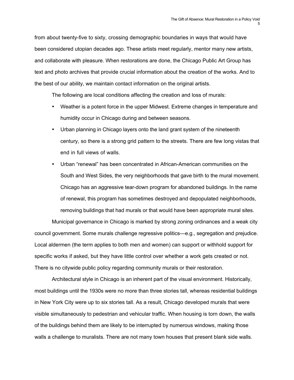from about twenty-five to sixty, crossing demographic boundaries in ways that would have been considered utopian decades ago. These artists meet regularly, mentor many new artists, and collaborate with pleasure. When restorations are done, the Chicago Public Art Group has text and photo archives that provide crucial information about the creation of the works. And to the best of our ability, we maintain contact information on the original artists.

The following are local conditions affecting the creation and loss of murals:

Weather is a potent force in the upper Midwest. Extreme changes in temperature and humidity occur in Chicago during and between seasons.

Urban planning in Chicago layers onto the land grant system of the nineteenth century, so there is a strong grid pattern to the streets. There are few long vistas that end in full views of walls.

Urban "renewal" has been concentrated in African-American communities on the South and West Sides, the very neighborhoods that gave birth to the mural movement. Chicago has an aggressive tear-down program for abandoned buildings. In the name of renewal, this program has sometimes destroyed and depopulated neighborhoods, removing buildings that had murals or that would have been appropriate mural sites.

Municipal governance in Chicago is marked by strong zoning ordinances and a weak city council government. Some murals challenge regressive politics—e.g., segregation and prejudice. Local aldermen (the term applies to both men and women) can support or withhold support for specific works if asked, but they have little control over whether a work gets created or not. There is no citywide public policy regarding community murals or their restoration.

Architectural style in Chicago is an inherent part of the visual environment. Historically, most buildings until the 1930s were no more than three stories tall, whereas residential buildings in New York City were up to six stories tall. As a result, Chicago developed murals that were visible simultaneously to pedestrian and vehicular traffic. When housing is torn down, the walls of the buildings behind them are likely to be interrupted by numerous windows, making those walls a challenge to muralists. There are not many town houses that present blank side walls.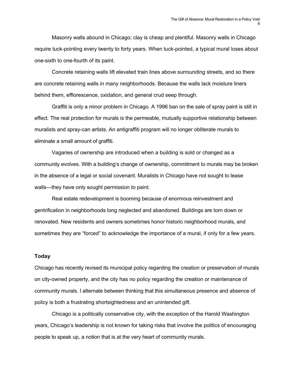Masonry walls abound in Chicago; clay is cheap and plentiful. Masonry walls in Chicago require tuck-pointing every twenty to forty years. When tuck-pointed, a typical mural loses about one-sixth to one-fourth of its paint.

Concrete retaining walls lift elevated train lines above surrounding streets, and so there are concrete retaining walls in many neighborhoods. Because the walls lack moisture liners behind them, efflorescence, oxidation, and general crud seep through.

Graffiti is only a minor problem in Chicago. A 1996 ban on the sale of spray paint is still in effect. The real protection for murals is the permeable, mutually supportive relationship between muralists and spray-can artists. An antigraffiti program will no longer obliterate murals to eliminate a small amount of graffiti.

Vagaries of ownership are introduced when a building is sold or changed as a community evolves. With a building's change of ownership, commitment to murals may be broken in the absence of a legal or social covenant. Muralists in Chicago have not sought to lease walls—they have only sought permission to paint.

Real estate redevelopment is booming because of enormous reinvestment and gentrification in neighborhoods long neglected and abandoned. Buildings are torn down or renovated. New residents and owners sometimes honor historic neighborhood murals, and sometimes they are "forced" to acknowledge the importance of a mural, if only for a few years.

## **Today**

Chicago has recently revised its municipal policy regarding the creation or preservation of murals on city-owned property, and the city has no policy regarding the creation or maintenance of community murals. I alternate between thinking that this simultaneous presence and absence of policy is both a frustrating shortsightedness and an unintended gift.

Chicago is a politically conservative city, with the exception of the Harold Washington years, Chicago's leadership is not known for taking risks that involve the politics of encouraging people to speak up, a notion that is at the very heart of community murals.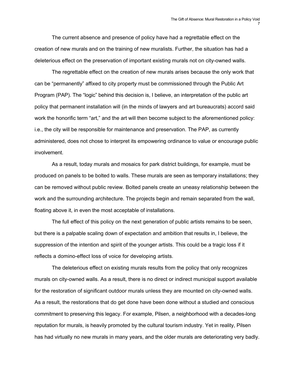The current absence and presence of policy have had a regrettable effect on the creation of new murals and on the training of new muralists. Further, the situation has had a deleterious effect on the preservation of important existing murals not on city-owned walls.

The regrettable effect on the creation of new murals arises because the only work that can be "permanently" affixed to city property must be commissioned through the Public Art Program (PAP). The "logic" behind this decision is, I believe, an interpretation of the public art policy that permanent installation will (in the minds of lawyers and art bureaucrats) accord said work the honorific term "art," and the art will then become subject to the aforementioned policy: i.e., the city will be responsible for maintenance and preservation. The PAP, as currently administered, does not chose to interpret its empowering ordinance to value or encourage public involvement.

As a result, today murals and mosaics for park district buildings, for example, must be produced on panels to be bolted to walls. These murals are seen as temporary installations; they can be removed without public review. Bolted panels create an uneasy relationship between the work and the surrounding architecture. The projects begin and remain separated from the wall, floating above it, in even the most acceptable of installations.

The full effect of this policy on the next generation of public artists remains to be seen, but there is a palpable scaling down of expectation and ambition that results in, I believe, the suppression of the intention and spirit of the younger artists. This could be a tragic loss if it reflects a domino-effect loss of voice for developing artists.

The deleterious effect on existing murals results from the policy that only recognizes murals on city-owned walls. As a result, there is no direct or indirect municipal support available for the restoration of significant outdoor murals unless they are mounted on city-owned walls. As a result, the restorations that do get done have been done without a studied and conscious commitment to preserving this legacy. For example, Pilsen, a neighborhood with a decades-long reputation for murals, is heavily promoted by the cultural tourism industry. Yet in reality, Pilsen has had virtually no new murals in many years, and the older murals are deteriorating very badly.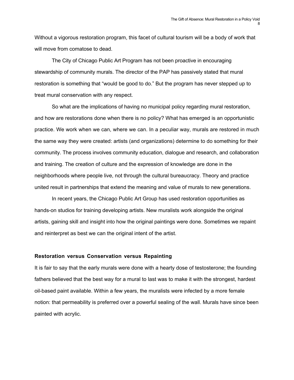Without a vigorous restoration program, this facet of cultural tourism will be a body of work that will move from comatose to dead.

The City of Chicago Public Art Program has not been proactive in encouraging stewardship of community murals. The director of the PAP has passively stated that mural restoration is something that "would be good to do." But the program has never stepped up to treat mural conservation with any respect.

So what are the implications of having no municipal policy regarding mural restoration, and how are restorations done when there is no policy? What has emerged is an opportunistic practice. We work when we can, where we can. In a peculiar way, murals are restored in much the same way they were created: artists (and organizations) determine to do something for their community. The process involves community education, dialogue and research, and collaboration and training. The creation of culture and the expression of knowledge are done in the neighborhoods where people live, not through the cultural bureaucracy. Theory and practice united result in partnerships that extend the meaning and value of murals to new generations.

In recent years, the Chicago Public Art Group has used restoration opportunities as hands-on studios for training developing artists. New muralists work alongside the original artists, gaining skill and insight into how the original paintings were done. Sometimes we repaint and reinterpret as best we can the original intent of the artist.

## **Restoration versus Conservation versus Repainting**

It is fair to say that the early murals were done with a hearty dose of testosterone; the founding fathers believed that the best way for a mural to last was to make it with the strongest, hardest oil-based paint available. Within a few years, the muralists were infected by a more female notion: that permeability is preferred over a powerful sealing of the wall. Murals have since been painted with acrylic.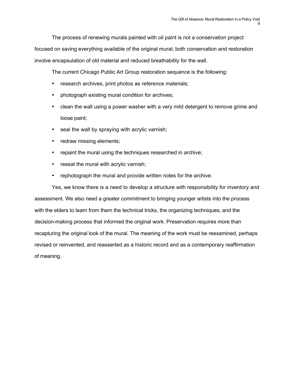The process of renewing murals painted with oil paint is not a conservation project focused on saving everything available of the original mural; both conservation and restoration involve encapsulation of old material and reduced breathability for the wall.

The current Chicago Public Art Group restoration sequence is the following:

research archives, print photos as reference materials;

photograph existing mural condition for archives;

clean the wall using a power washer with a very mild detergent to remove grime and loose paint;

seal the wall by spraying with acrylic varnish;

redraw missing elements;

repaint the mural using the techniques researched in archive;

reseal the mural with acrylic varnish;

rephotograph the mural and provide written notes for the archive.

Yes, we know there is a need to develop a structure with responsibility for inventory and assessment. We also need a greater commitment to bringing younger artists into the process with the elders to learn from them the technical tricks, the organizing techniques, and the decision-making process that informed the original work. Preservation requires more than recapturing the original look of the mural. The meaning of the work must be reexamined, perhaps revised or reinvented, and reasserted as a historic record and as a contemporary reaffirmation of meaning.